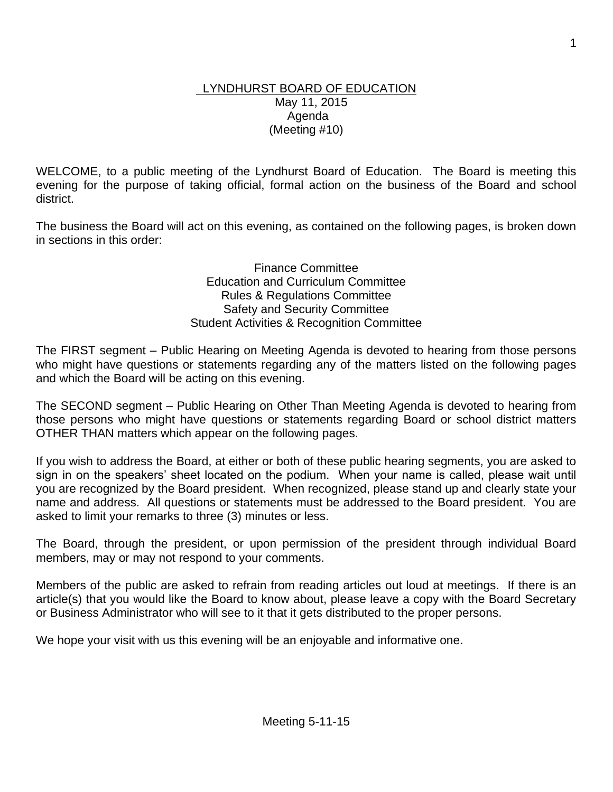#### LYNDHURST BOARD OF EDUCATION May 11, 2015 Agenda (Meeting #10)

WELCOME, to a public meeting of the Lyndhurst Board of Education. The Board is meeting this evening for the purpose of taking official, formal action on the business of the Board and school district.

The business the Board will act on this evening, as contained on the following pages, is broken down in sections in this order:

> Finance Committee Education and Curriculum Committee Rules & Regulations Committee Safety and Security Committee Student Activities & Recognition Committee

The FIRST segment – Public Hearing on Meeting Agenda is devoted to hearing from those persons who might have questions or statements regarding any of the matters listed on the following pages and which the Board will be acting on this evening.

The SECOND segment – Public Hearing on Other Than Meeting Agenda is devoted to hearing from those persons who might have questions or statements regarding Board or school district matters OTHER THAN matters which appear on the following pages.

If you wish to address the Board, at either or both of these public hearing segments, you are asked to sign in on the speakers' sheet located on the podium. When your name is called, please wait until you are recognized by the Board president. When recognized, please stand up and clearly state your name and address. All questions or statements must be addressed to the Board president. You are asked to limit your remarks to three (3) minutes or less.

The Board, through the president, or upon permission of the president through individual Board members, may or may not respond to your comments.

Members of the public are asked to refrain from reading articles out loud at meetings. If there is an article(s) that you would like the Board to know about, please leave a copy with the Board Secretary or Business Administrator who will see to it that it gets distributed to the proper persons.

We hope your visit with us this evening will be an enjoyable and informative one.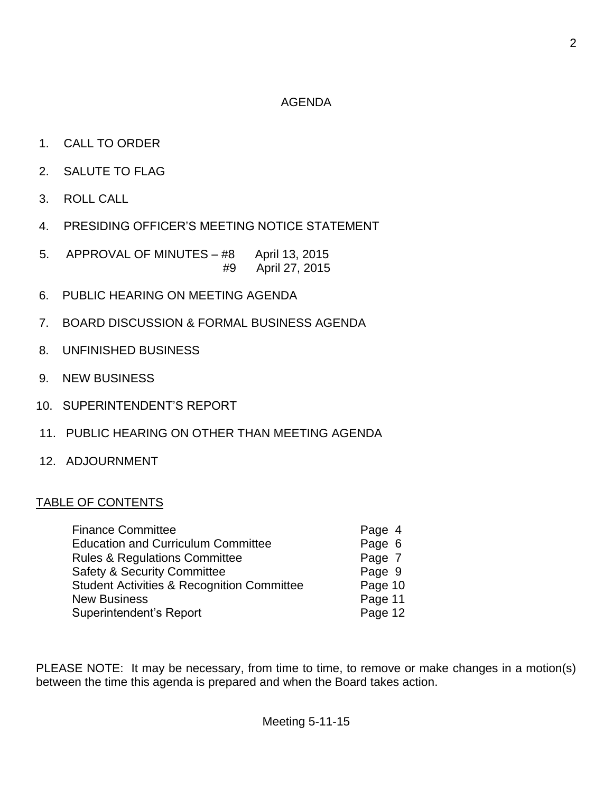#### AGENDA

- 1. CALL TO ORDER
- 2. SALUTE TO FLAG
- 3. ROLL CALL
- 4. PRESIDING OFFICER'S MEETING NOTICE STATEMENT
- 5. APPROVAL OF MINUTES #8 April 13, 2015 #9 April 27, 2015
- 6. PUBLIC HEARING ON MEETING AGENDA
- 7. BOARD DISCUSSION & FORMAL BUSINESS AGENDA
- 8. UNFINISHED BUSINESS
- 9. NEW BUSINESS
- 10. SUPERINTENDENT'S REPORT
- 11. PUBLIC HEARING ON OTHER THAN MEETING AGENDA
- 12. ADJOURNMENT

## TABLE OF CONTENTS

| <b>Finance Committee</b>                              | Page 4  |
|-------------------------------------------------------|---------|
| <b>Education and Curriculum Committee</b>             | Page 6  |
| <b>Rules &amp; Regulations Committee</b>              | Page 7  |
| <b>Safety &amp; Security Committee</b>                | Page 9  |
| <b>Student Activities &amp; Recognition Committee</b> | Page 10 |
| <b>New Business</b>                                   | Page 11 |
| Superintendent's Report                               | Page 12 |

PLEASE NOTE: It may be necessary, from time to time, to remove or make changes in a motion(s) between the time this agenda is prepared and when the Board takes action.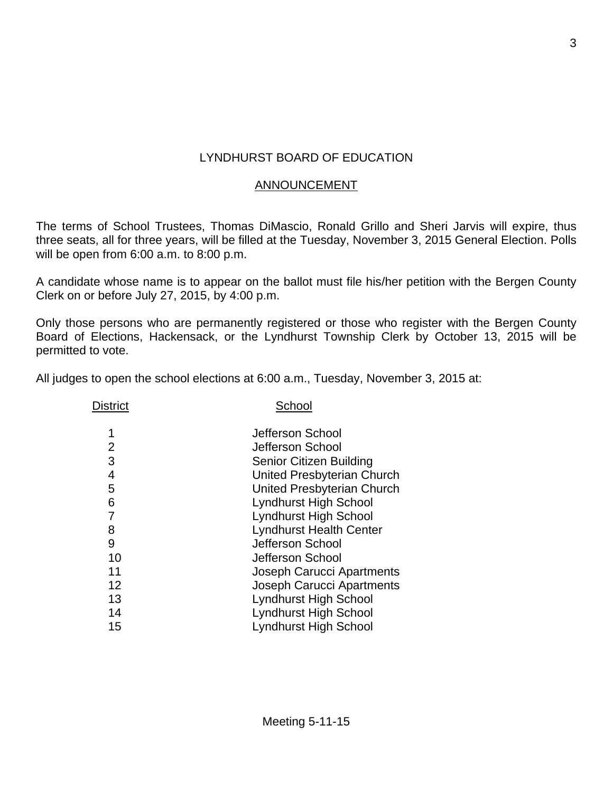# LYNDHURST BOARD OF EDUCATION

#### ANNOUNCEMENT

The terms of School Trustees, Thomas DiMascio, Ronald Grillo and Sheri Jarvis will expire, thus three seats, all for three years, will be filled at the Tuesday, November 3, 2015 General Election. Polls will be open from 6:00 a.m. to 8:00 p.m.

A candidate whose name is to appear on the ballot must file his/her petition with the Bergen County Clerk on or before July 27, 2015, by 4:00 p.m.

Only those persons who are permanently registered or those who register with the Bergen County Board of Elections, Hackensack, or the Lyndhurst Township Clerk by October 13, 2015 will be permitted to vote.

All judges to open the school elections at 6:00 a.m., Tuesday, November 3, 2015 at:

| <b>District</b> | School                           |  |  |
|-----------------|----------------------------------|--|--|
| 1               | Jefferson School                 |  |  |
| 2               | Jefferson School                 |  |  |
| 3               | Senior Citizen Building          |  |  |
| 4               | United Presbyterian Church       |  |  |
| 5               | United Presbyterian Church       |  |  |
| 6               | <b>Lyndhurst High School</b>     |  |  |
| 7               | <b>Lyndhurst High School</b>     |  |  |
| 8               | <b>Lyndhurst Health Center</b>   |  |  |
| 9               | Jefferson School                 |  |  |
| 10              | Jefferson School                 |  |  |
| 11              | Joseph Carucci Apartments        |  |  |
| 12              | <b>Joseph Carucci Apartments</b> |  |  |
| 13              | <b>Lyndhurst High School</b>     |  |  |
| 14              | <b>Lyndhurst High School</b>     |  |  |
| 15              | <b>Lyndhurst High School</b>     |  |  |
|                 |                                  |  |  |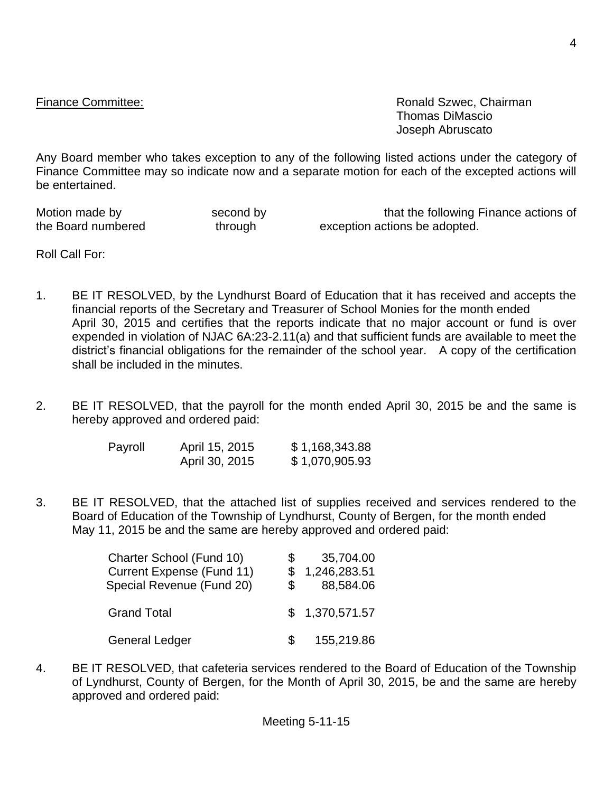Finance Committee: **Ronald Szwec, Chairman** Thomas DiMascio Joseph Abruscato

Any Board member who takes exception to any of the following listed actions under the category of Finance Committee may so indicate now and a separate motion for each of the excepted actions will be entertained.

Motion made by **second by** second by that the following Finance actions of the Board numbered through through exception actions be adopted.

Roll Call For:

- 1. BE IT RESOLVED, by the Lyndhurst Board of Education that it has received and accepts the financial reports of the Secretary and Treasurer of School Monies for the month ended April 30, 2015 and certifies that the reports indicate that no major account or fund is over expended in violation of NJAC 6A:23-2.11(a) and that sufficient funds are available to meet the district's financial obligations for the remainder of the school year. A copy of the certification shall be included in the minutes.
- 2. BE IT RESOLVED, that the payroll for the month ended April 30, 2015 be and the same is hereby approved and ordered paid:

| Payroll | April 15, 2015 | \$1,168,343.88 |
|---------|----------------|----------------|
|         | April 30, 2015 | \$1,070,905.93 |

3. BE IT RESOLVED, that the attached list of supplies received and services rendered to the Board of Education of the Township of Lyndhurst, County of Bergen, for the month ended May 11, 2015 be and the same are hereby approved and ordered paid:

| Charter School (Fund 10)<br>Current Expense (Fund 11)<br>Special Revenue (Fund 20) | 35,704.00<br>\$1,246,283.51<br>88,584.06 |
|------------------------------------------------------------------------------------|------------------------------------------|
| <b>Grand Total</b>                                                                 | \$1,370,571.57                           |
| <b>General Ledger</b>                                                              | 155,219.86                               |

4. BE IT RESOLVED, that cafeteria services rendered to the Board of Education of the Township of Lyndhurst, County of Bergen, for the Month of April 30, 2015, be and the same are hereby approved and ordered paid: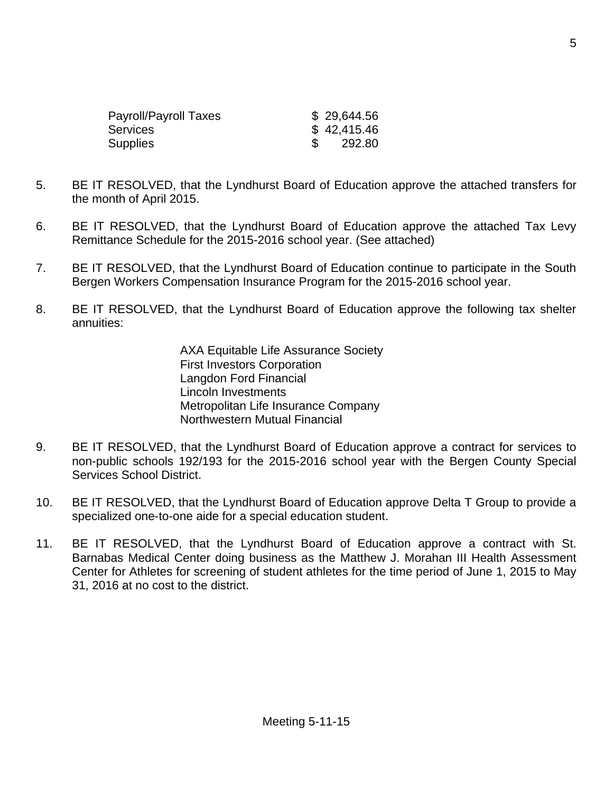| Payroll/Payroll Taxes | \$29,644.56 |
|-----------------------|-------------|
| Services              | \$42,415.46 |
| Supplies              | 292.80      |

- 5. BE IT RESOLVED, that the Lyndhurst Board of Education approve the attached transfers for the month of April 2015.
- 6. BE IT RESOLVED, that the Lyndhurst Board of Education approve the attached Tax Levy Remittance Schedule for the 2015-2016 school year. (See attached)
- 7. BE IT RESOLVED, that the Lyndhurst Board of Education continue to participate in the South Bergen Workers Compensation Insurance Program for the 2015-2016 school year.
- 8. BE IT RESOLVED, that the Lyndhurst Board of Education approve the following tax shelter annuities:

AXA Equitable Life Assurance Society First Investors Corporation Langdon Ford Financial Lincoln Investments Metropolitan Life Insurance Company Northwestern Mutual Financial

- 9. BE IT RESOLVED, that the Lyndhurst Board of Education approve a contract for services to non-public schools 192/193 for the 2015-2016 school year with the Bergen County Special Services School District.
- 10. BE IT RESOLVED, that the Lyndhurst Board of Education approve Delta T Group to provide a specialized one-to-one aide for a special education student.
- 11. BE IT RESOLVED, that the Lyndhurst Board of Education approve a contract with St. Barnabas Medical Center doing business as the Matthew J. Morahan III Health Assessment Center for Athletes for screening of student athletes for the time period of June 1, 2015 to May 31, 2016 at no cost to the district.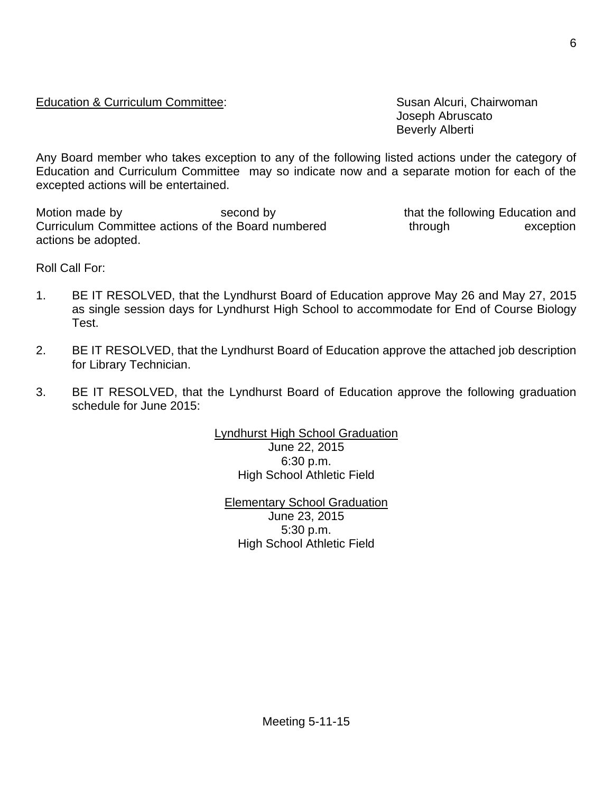#### Education & Curriculum Committee: Susan Alcuri, Chairwoman

Joseph Abruscato Beverly Alberti

Any Board member who takes exception to any of the following listed actions under the category of Education and Curriculum Committee may so indicate now and a separate motion for each of the excepted actions will be entertained.

Motion made by **Second by** second by that the following Education and Curriculum Committee actions of the Board numbered through through exception actions be adopted.

Roll Call For:

- 1. BE IT RESOLVED, that the Lyndhurst Board of Education approve May 26 and May 27, 2015 as single session days for Lyndhurst High School to accommodate for End of Course Biology Test.
- 2. BE IT RESOLVED, that the Lyndhurst Board of Education approve the attached job description for Library Technician.
- 3. BE IT RESOLVED, that the Lyndhurst Board of Education approve the following graduation schedule for June 2015:

Lyndhurst High School Graduation June 22, 2015 6:30 p.m. High School Athletic Field

Elementary School Graduation June 23, 2015 5:30 p.m. High School Athletic Field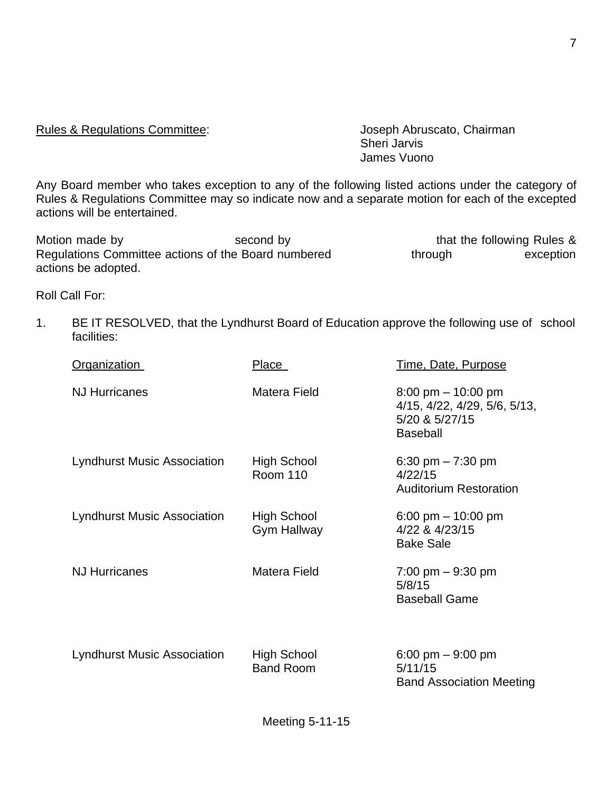Rules & Regulations Committee: Joseph Abruscato, Chairman

Sheri Jarvis James Vuono

Any Board member who takes exception to any of the following listed actions under the category of Rules & Regulations Committee may so indicate now and a separate motion for each of the excepted actions will be entertained.

Motion made by Second by Second by that the following Rules & Regulations Committee actions of the Board numbered through exception actions be adopted.

Roll Call For:

1. BE IT RESOLVED, that the Lyndhurst Board of Education approve the following use of school facilities:

| <b>Organization</b>                | Place                             | Time, Date, Purpose                                                                                       |
|------------------------------------|-----------------------------------|-----------------------------------------------------------------------------------------------------------|
| <b>NJ Hurricanes</b>               | Matera Field                      | $8:00 \text{ pm} - 10:00 \text{ pm}$<br>4/15, 4/22, 4/29, 5/6, 5/13,<br>5/20 & 5/27/15<br><b>Baseball</b> |
| <b>Lyndhurst Music Association</b> | High School<br><b>Room 110</b>    | 6:30 pm $- 7:30$ pm<br>4/22/15<br><b>Auditorium Restoration</b>                                           |
| <b>Lyndhurst Music Association</b> | High School<br><b>Gym Hallway</b> | 6:00 pm $-$ 10:00 pm<br>4/22 & 4/23/15<br><b>Bake Sale</b>                                                |
| <b>NJ Hurricanes</b>               | Matera Field                      | $7:00 \text{ pm} - 9:30 \text{ pm}$<br>5/8/15<br><b>Baseball Game</b>                                     |
| <b>Lyndhurst Music Association</b> | High School<br><b>Band Room</b>   | 6:00 pm $-9:00$ pm<br>5/11/15<br><b>Band Association Meeting</b>                                          |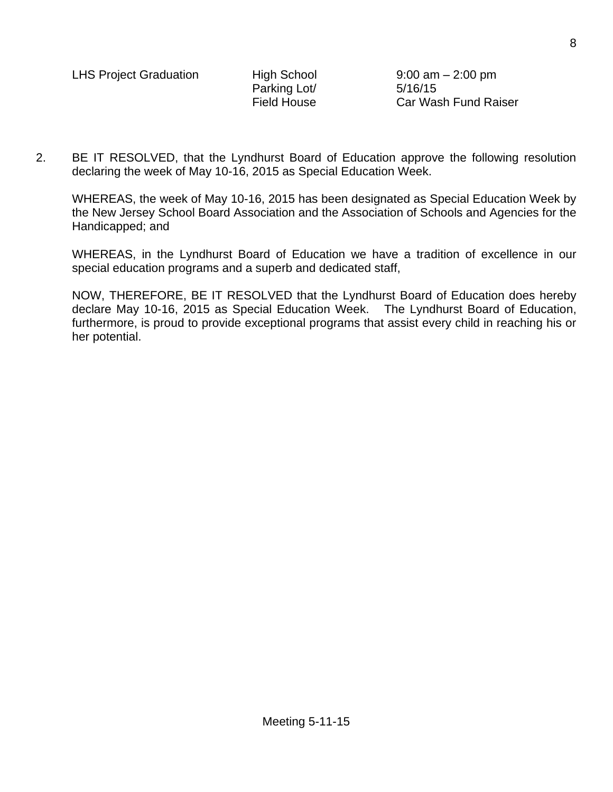Parking Lot/ 5/16/15

Field House Car Wash Fund Raiser

2. BE IT RESOLVED, that the Lyndhurst Board of Education approve the following resolution declaring the week of May 10-16, 2015 as Special Education Week.

WHEREAS, the week of May 10-16, 2015 has been designated as Special Education Week by the New Jersey School Board Association and the Association of Schools and Agencies for the Handicapped; and

WHEREAS, in the Lyndhurst Board of Education we have a tradition of excellence in our special education programs and a superb and dedicated staff,

NOW, THEREFORE, BE IT RESOLVED that the Lyndhurst Board of Education does hereby declare May 10-16, 2015 as Special Education Week. The Lyndhurst Board of Education, furthermore, is proud to provide exceptional programs that assist every child in reaching his or her potential.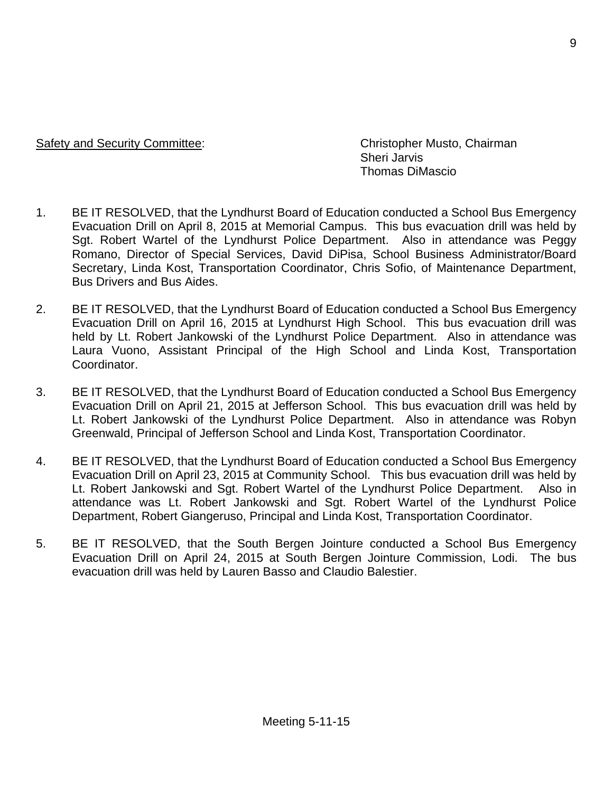#### Safety and Security Committee: Christopher Musto, Chairman

Sheri Jarvis Thomas DiMascio

- 1. BE IT RESOLVED, that the Lyndhurst Board of Education conducted a School Bus Emergency Evacuation Drill on April 8, 2015 at Memorial Campus. This bus evacuation drill was held by Sgt. Robert Wartel of the Lyndhurst Police Department. Also in attendance was Peggy Romano, Director of Special Services, David DiPisa, School Business Administrator/Board Secretary, Linda Kost, Transportation Coordinator, Chris Sofio, of Maintenance Department, Bus Drivers and Bus Aides.
- 2. BE IT RESOLVED, that the Lyndhurst Board of Education conducted a School Bus Emergency Evacuation Drill on April 16, 2015 at Lyndhurst High School. This bus evacuation drill was held by Lt. Robert Jankowski of the Lyndhurst Police Department. Also in attendance was Laura Vuono, Assistant Principal of the High School and Linda Kost, Transportation Coordinator.
- 3. BE IT RESOLVED, that the Lyndhurst Board of Education conducted a School Bus Emergency Evacuation Drill on April 21, 2015 at Jefferson School. This bus evacuation drill was held by Lt. Robert Jankowski of the Lyndhurst Police Department. Also in attendance was Robyn Greenwald, Principal of Jefferson School and Linda Kost, Transportation Coordinator.
- 4. BE IT RESOLVED, that the Lyndhurst Board of Education conducted a School Bus Emergency Evacuation Drill on April 23, 2015 at Community School. This bus evacuation drill was held by Lt. Robert Jankowski and Sgt. Robert Wartel of the Lyndhurst Police Department. Also in attendance was Lt. Robert Jankowski and Sgt. Robert Wartel of the Lyndhurst Police Department, Robert Giangeruso, Principal and Linda Kost, Transportation Coordinator.
- 5. BE IT RESOLVED, that the South Bergen Jointure conducted a School Bus Emergency Evacuation Drill on April 24, 2015 at South Bergen Jointure Commission, Lodi. The bus evacuation drill was held by Lauren Basso and Claudio Balestier.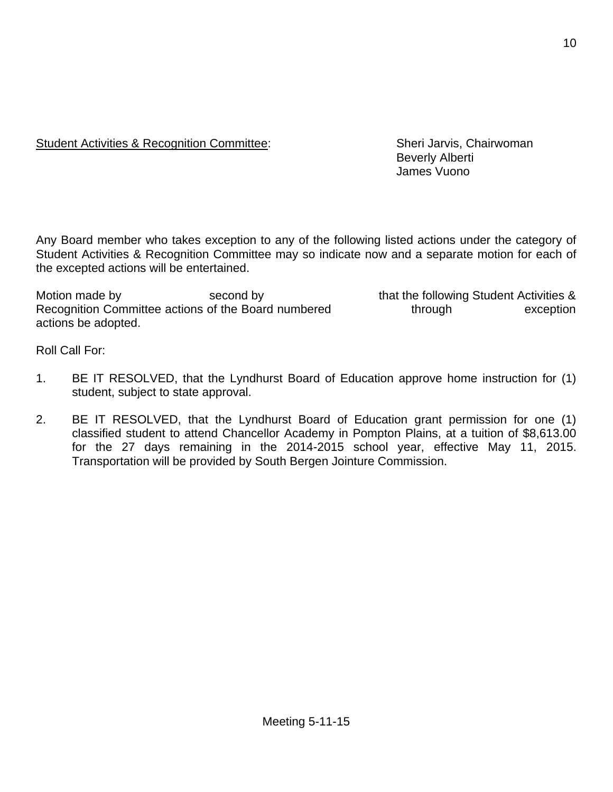### Student Activities & Recognition Committee: Sheri Jarvis, Chairwoman

Beverly Alberti James Vuono

Any Board member who takes exception to any of the following listed actions under the category of Student Activities & Recognition Committee may so indicate now and a separate motion for each of the excepted actions will be entertained.

Motion made by second by second by that the following Student Activities & Recognition Committee actions of the Board numbered through through exception actions be adopted.

Roll Call For:

- 1. BE IT RESOLVED, that the Lyndhurst Board of Education approve home instruction for (1) student, subject to state approval.
- 2. BE IT RESOLVED, that the Lyndhurst Board of Education grant permission for one (1) classified student to attend Chancellor Academy in Pompton Plains, at a tuition of \$8,613.00 for the 27 days remaining in the 2014-2015 school year, effective May 11, 2015. Transportation will be provided by South Bergen Jointure Commission.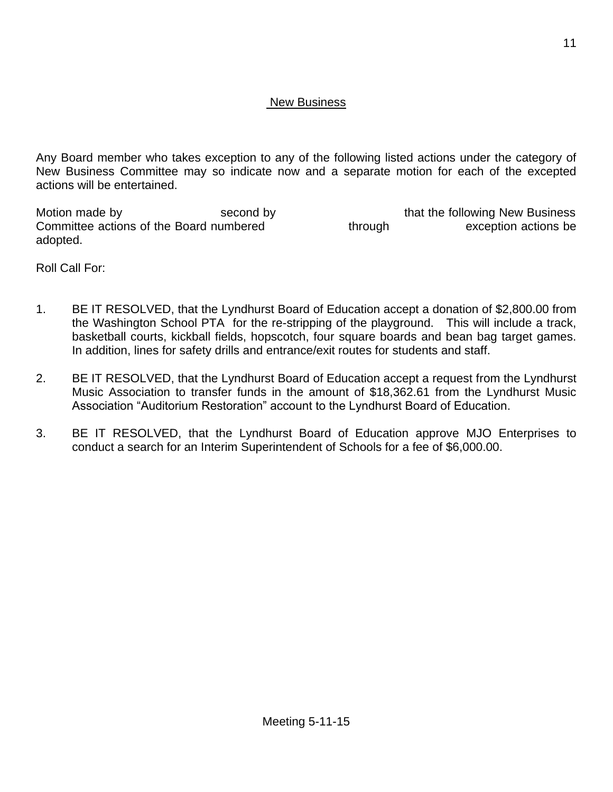### New Business

Any Board member who takes exception to any of the following listed actions under the category of New Business Committee may so indicate now and a separate motion for each of the excepted actions will be entertained.

Motion made by The Second by Second by that the following New Business Committee actions of the Board numbered through through exception actions be adopted.

Roll Call For:

- 1. BE IT RESOLVED, that the Lyndhurst Board of Education accept a donation of \$2,800.00 from the Washington School PTA for the re-stripping of the playground. This will include a track, basketball courts, kickball fields, hopscotch, four square boards and bean bag target games. In addition, lines for safety drills and entrance/exit routes for students and staff.
- 2. BE IT RESOLVED, that the Lyndhurst Board of Education accept a request from the Lyndhurst Music Association to transfer funds in the amount of \$18,362.61 from the Lyndhurst Music Association "Auditorium Restoration" account to the Lyndhurst Board of Education.
- 3. BE IT RESOLVED, that the Lyndhurst Board of Education approve MJO Enterprises to conduct a search for an Interim Superintendent of Schools for a fee of \$6,000.00.